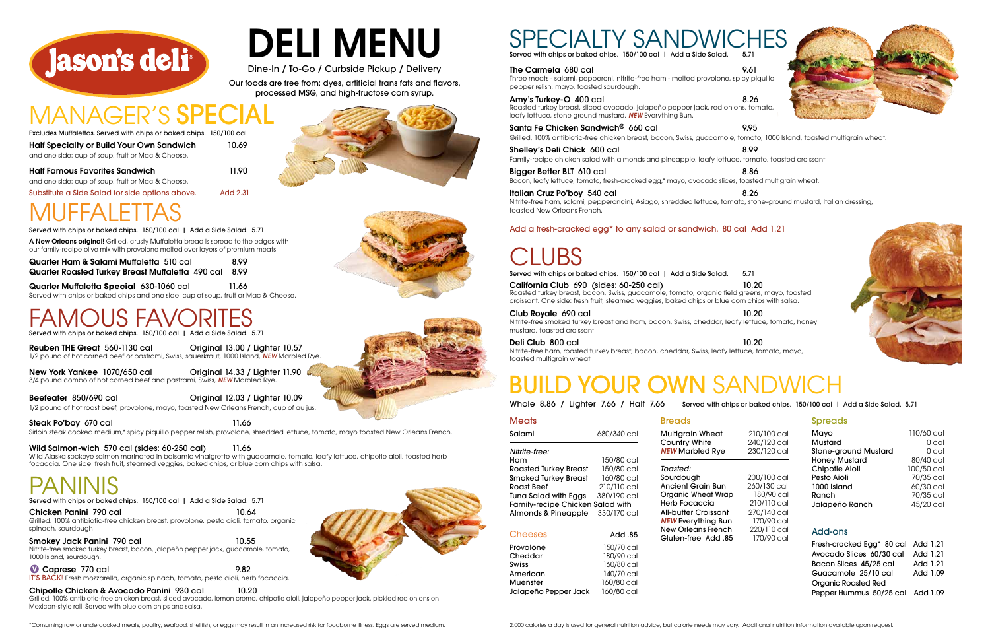Organic Roasted Red Pepper Hummus 50/25 cal Add 1.09

### Spreads

|   | 210/100 cal | Mayo                                  | 110/60 cal |
|---|-------------|---------------------------------------|------------|
|   | 240/120 cal | Mustard                               | 0 cal      |
|   | 230/120 cal | <b>Stone-ground Mustard</b>           | 0 cal      |
|   |             | <b>Honey Mustard</b>                  | 80/40 cal  |
|   |             | Chipotle Aioli                        | 100/50 cal |
|   | 200/100 cal | Pesto Aioli                           | 70/35 cal  |
|   | 260/130 cal | 1000 Island                           | 60/30 cal  |
| ၁ | 180/90 cal  | Ranch                                 | 70/35 cal  |
|   | 210/110 cal | Jalapeño Ranch                        | 45/20 cal  |
|   | 270/140 cal |                                       |            |
|   | 170/90 cal  |                                       |            |
|   | 220/110 cal | Add-ons                               |            |
| 5 | 170/90 cal  |                                       | Add 1.21   |
|   |             | Fresh-cracked Egg <sup>*</sup> 80 cal |            |
|   |             | Avocado Slices 60/30 cal              | Add 1.21   |
|   |             | Bacon Slices 45/25 cal                | Add 1.21   |
|   |             | Guacamole 25/10 cal                   | Add 1.09   |
|   |             | Oragnic Dogetod Dod                   |            |

| Meats                                   |             |
|-----------------------------------------|-------------|
| Salami                                  | 680/340 cal |
| Nitrite-free:                           |             |
| Ham                                     | 150/80 cal  |
| <b>Roasted Turkey Breast</b>            | 150/80 cal  |
| <b>Smoked Turkey Breast</b>             | 160/80 cal  |
| Roast Beef                              | 210/110 cal |
| Tuna Salad with Eggs                    | 380/190 cal |
| <b>Family-recipe Chicken Salad with</b> |             |
| Almonds & Pineapple                     | 330/170 cal |
| <b>Cheeses</b>                          | 85. Add     |
| Provolone                               | 150/70 cal  |
| Cheddar                                 | 180/90 cal  |

Swiss 160/80 cal American 140/70 cal Muenster 160/80 cal Jalapeño Pepper Jack 160/80 cal *NEW* Marbled Rve *Toasted:* Sourdough **Ancient Grain Bun** Organic Wheat Wrap

**Multigrain Wheat** Country White

Herb Focaccia All-butter Croissant **NEW Everything Bur New Orleans French** Gluten-free Add .8

| Roast E     |
|-------------|
| Tuna So     |
| Family      |
| Almon       |
|             |
| <b>Chee</b> |
| Provolo     |
| Chedd       |

## BUILD YOUR OWN SANDWICH

**Breads** 

and one side: cup of soup, fruit or Mac & Cheese. Substitute a Side Salad for side options above. Add 2.31

New York Yankee 1070/650 cal Criginal 14.33 / Lighter 11.90 3/4 pound combo of hot corned beef and pastrami, Swiss, *NEW* Marbled Rye.

A New Orleans original! Grilled, crusty Muffaletta bread is spread to the edges with Served with chips or baked chips. 150/100 cal | Add a Side Salad. 5.71

Half Famous Favorites Sandwich 11.90

Half Specialty or Build Your Own Sandwich 10.69 and one side: cup of soup, fruit or Mac & Cheese. Excludes Muffalettas. Served with chips or baked chips. 150/100 cal

Chicken Panini 790 cal 10.64 Grilled, 100% antibiotic-free chicken breast, provolone, pesto aioli, tomato, organic spinach, sourdough.

Reuben THE Great 560-1130 cal Original 13.00 / Lighter 10.57 1/2 pound of hot corned beef or pastrami, Swiss, sauerkraut, 1000 Island, *NEW* Marbled Rye.

Smokey Jack Panini 790 cal 10.55 Nitrite-free smoked turkey breast, bacon, jalapeño pepper jack, guacamole, tomato, 1000 Island, sourdough.

**1 Caprese** 770 cal 9.82

Beefeater 850/690 cal Original 12.03 / Lighter 10.09

1/2 pound of hot roast beef, provolone, mayo, toasted New Orleans French, cup of au jus.

Steak Po'boy 670 cal 11.66

Santa Fe Chicken Sandwich® 660 cal 9.95 Grilled, 100% antibiotic-free chicken breast, bacon, Swiss, guacamole, tomato, 1000 Island, toasted multigrain wheat.

Sirloin steak cooked medium,\* spicy piquillo pepper relish, provolone, shredded lettuce, tomato, mayo toasted New Orleans French.

Wild Salmon-wich 570 cal (sides: 60-250 cal) 11.66

Shelley's Deli Chick 600 cal 8.99 Family-recipe chicken salad with almonds and pineapple, leafy lettuce, tomato, toasted croissant.

Bigger Better BLT 610 cal 8.86 Bacon, leafy lettuce, tomato, fresh-cracked egg,\* mayo, avocado slices, toasted multigrain wheat.

Italian Cruz Po'boy 540 cal 8.26 Nitrite-free ham, salami, pepperoncini, Asiago, shredded lettuce, tomato, stone-ground mustard, Italian dressing, toasted New Orleans French.

Wild Alaska sockeye salmon marinated in balsamic vinaigrette with guacamole, tomato, leafy lettuce, chipotle aioli, toasted herb focaccia. One side: fresh fruit, steamed veggies, baked chips, or blue corn chips with salsa.

PANINIS<br>Served with chips or baked chips. 150/100 cal | Add a Side Salad. 5.71

Served with chips or baked chips. 150/100 cal | Add a Side Salad. 5.71

## MUFFALETTAS

Quarter Ham & Salami Muffaletta 510 cal 8.99 Quarter Roasted Turkey Breast Muffaletta 490 cal 8.99

Quarter Muffaletta **Special** 630-1060 cal 11.66 Served with chips or baked chips and one side: cup of soup, fruit or Mac & Cheese.

## US FAV

our family-recipe olive mix with provolone melted over layers of premium meats.

Amy's Turkey-O 400 cal 8.26 Roasted turkey breast, sliced avocado, jalapeño pepper jack, red onions, tomato, leafy lettuce, stone ground mustard, *NEW* Everything Bun.

Whole 8.86 / Lighter 7.66 / Half 7.66 Served with chips or baked chips. 150/100 cal | Add a Side Salad. 5.71

IT'S BACK! Fresh mozzarella, organic spinach, tomato, pesto aioli, herb focaccia.

Chipotle Chicken & Avocado Panini 930 cal 10.20

Grilled, 100% antibiotic-free chicken breast, sliced avocado, lemon crema, chipotle aioli, jalapeño pepper jack, pickled red onions on Mexican-style roll. Served with blue corn chips and salsa.



# DELI MENU

Dine-In / To-Go / Curbside Pickup / Delivery

Our foods are free from: dyes, artificial trans fats and flavors, processed MSG, and high-fructose corn syrup.

## MANAGER'S SPE



Served with chips or baked chips. 150/100 cal | Add a Side Salad. 5.71

The Carmela 680 cal 9.61

California Club 690 (sides: 60-250 cal) 10.20

Roasted turkey breast, bacon, Swiss, guacamole, tomato, organic field greens, mayo, toasted croissant. One side: fresh fruit, steamed veggies, baked chips or blue corn chips with salsa.

### Club Royale 690 cal 10.20

Nitrite-free smoked turkey breast and ham, bacon, Swiss, cheddar, leafy lettuce, tomato, honey mustard, toasted croissant.

**Deli Club 800 cal 10.20** 

Nitrite-free ham, roasted turkey breast, bacon, cheddar, Swiss, leafy lettuce, tomato, mayo, toasted multigrain wheat.











Served with chips or baked chips. 150/100 cal | Add a Side Salad. 5.71

### Add a fresh-cracked egg\* to any salad or sandwich. 80 cal Add 1.21

## JBS

\*Consuming raw or undercooked meats, poultry, seafood, shellfish, or eggs may result in an increased risk for foodborne illness. Eggs are served medium.

Three meats - salami, pepperoni, nitrite-free ham - melted provolone, spicy piquillo pepper relish, mayo, toasted sourdough.